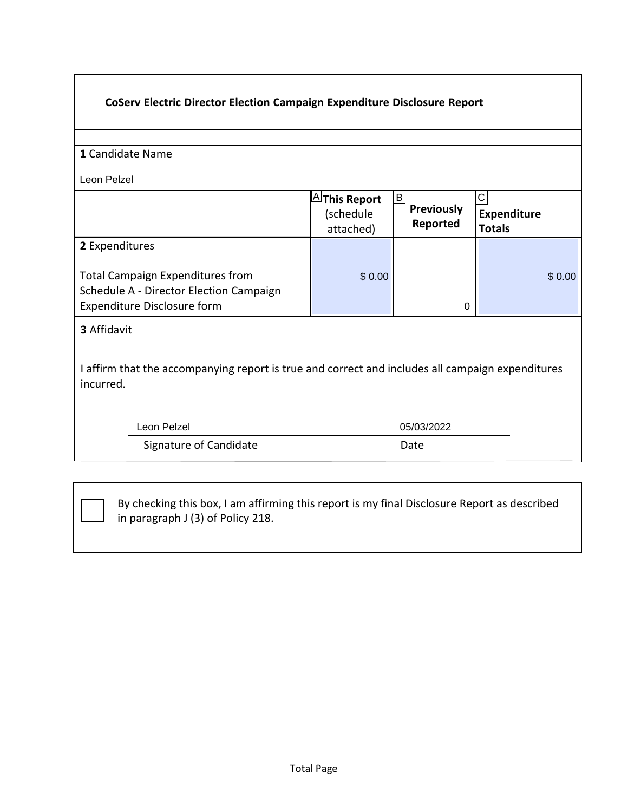| <b>CoServ Electric Director Election Campaign Expenditure Disclosure Report</b>                                                     |                                                  |                                            |                                             |  |
|-------------------------------------------------------------------------------------------------------------------------------------|--------------------------------------------------|--------------------------------------------|---------------------------------------------|--|
| 1 Candidate Name                                                                                                                    |                                                  |                                            |                                             |  |
| Leon Pelzel                                                                                                                         |                                                  |                                            |                                             |  |
|                                                                                                                                     | $\boxplus$ This Report<br>(schedule<br>attached) | $\vert$ B<br><b>Previously</b><br>Reported | $\mathbf C$<br>Expenditure<br><b>Totals</b> |  |
| 2 Expenditures<br><b>Total Campaign Expenditures from</b><br>Schedule A - Director Election Campaign<br>Expenditure Disclosure form | \$0.00                                           | 0                                          | \$0.00                                      |  |
| <b>3 Affidavit</b><br>I affirm that the accompanying report is true and correct and includes all campaign expenditures<br>incurred. |                                                  |                                            |                                             |  |
| Leon Pelzel                                                                                                                         | 05/03/2022                                       |                                            |                                             |  |
| Signature of Candidate                                                                                                              | Date                                             |                                            |                                             |  |

٦

By checking this box, I am affirming this report is my final Disclosure Report as described in paragraph J (3) of Policy 218.